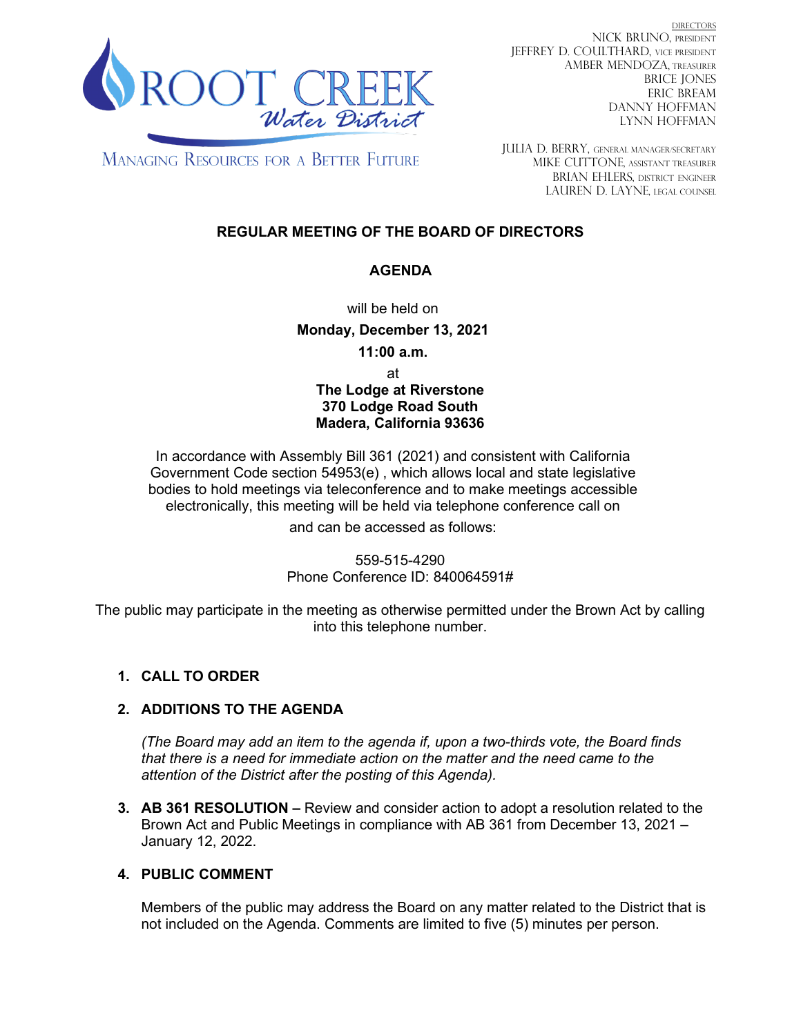

DIRECTORS NICK BRUNO, PRESIDENT JEFFREY D. COULTHARD, Vice President AMBER MENDOZA, TREASURER BRICE JONES ERIC BREAM DANNY HOFFMAN LYNN HOFFMAN

**MANAGING RESOURCES FOR A BETTER FUTURE** 

JULIA D. BERRY, GENERAL MANAGER/secretary MIKE CUTTONE, Assistant treasurer BRIAN EHLERS, DISTRICT ENGINEER LAUREN D. LAYNE, LEGAL COUNSEL

# **REGULAR MEETING OF THE BOARD OF DIRECTORS**

## **AGENDA**

will be held on

**Monday, December 13, 2021**

**11:00 a.m.**

at

**The Lodge at Riverstone 370 Lodge Road South Madera, California 93636**

In accordance with Assembly Bill 361 (2021) and consistent with California Government Code section 54953(e) , which allows local and state legislative bodies to hold meetings via teleconference and to make meetings accessible electronically, this meeting will be held via telephone conference call on

and can be accessed as follows:

559-515-4290 Phone Conference ID: 840064591#

The public may participate in the meeting as otherwise permitted under the Brown Act by calling into this telephone number.

# **1. CALL TO ORDER**

### **2. ADDITIONS TO THE AGENDA**

*(The Board may add an item to the agenda if, upon a two-thirds vote, the Board finds that there is a need for immediate action on the matter and the need came to the attention of the District after the posting of this Agenda).*

**3. AB 361 RESOLUTION –** Review and consider action to adopt a resolution related to the Brown Act and Public Meetings in compliance with AB 361 from December 13, 2021 – January 12, 2022.

### **4. PUBLIC COMMENT**

Members of the public may address the Board on any matter related to the District that is not included on the Agenda. Comments are limited to five (5) minutes per person.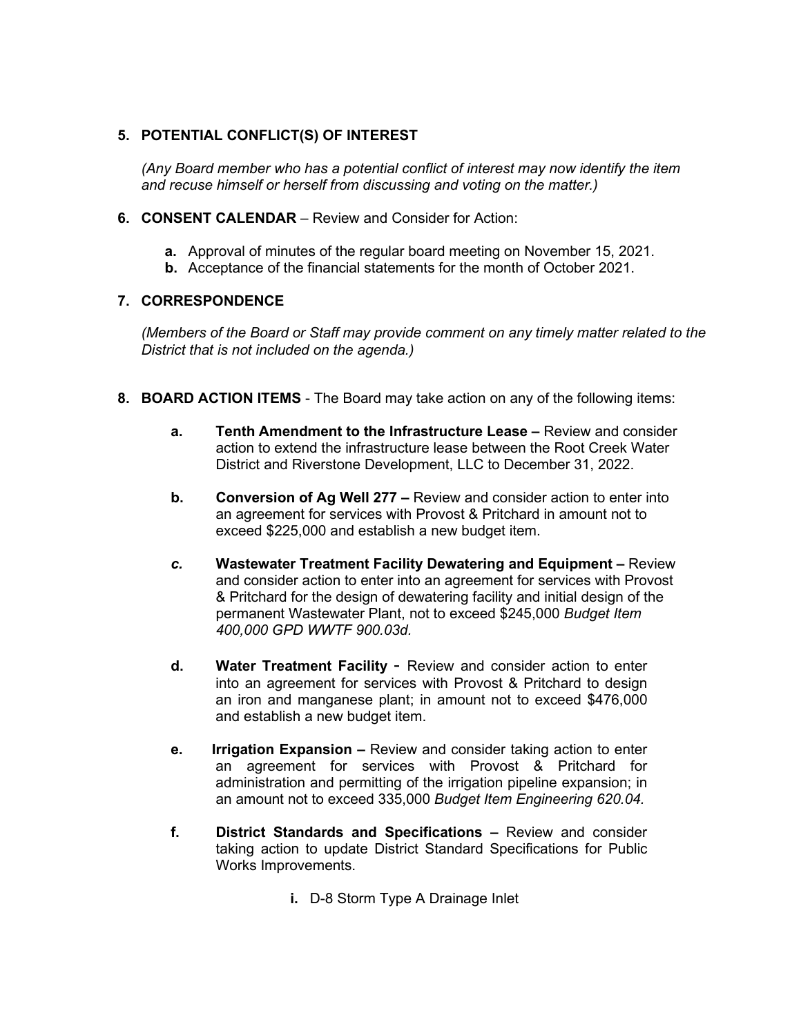## **5. POTENTIAL CONFLICT(S) OF INTEREST**

*(Any Board member who has a potential conflict of interest may now identify the item and recuse himself or herself from discussing and voting on the matter.)*

- **6. CONSENT CALENDAR** Review and Consider for Action:
	- **a.** Approval of minutes of the regular board meeting on November 15, 2021.
	- **b.** Acceptance of the financial statements for the month of October 2021.

#### **7. CORRESPONDENCE**

*(Members of the Board or Staff may provide comment on any timely matter related to the District that is not included on the agenda.)*

- **8. BOARD ACTION ITEMS**  The Board may take action on any of the following items:
	- **a. Tenth Amendment to the Infrastructure Lease –** Review and consider action to extend the infrastructure lease between the Root Creek Water District and Riverstone Development, LLC to December 31, 2022.
	- **b. Conversion of Ag Well 277 –** Review and consider action to enter into an agreement for services with Provost & Pritchard in amount not to exceed \$225,000 and establish a new budget item.
	- *c.* **Wastewater Treatment Facility Dewatering and Equipment –** Review and consider action to enter into an agreement for services with Provost & Pritchard for the design of dewatering facility and initial design of the permanent Wastewater Plant, not to exceed \$245,000 *Budget Item 400,000 GPD WWTF 900.03d.*
	- **d. Water Treatment Facility** Review and consider action to enter into an agreement for services with Provost & Pritchard to design an iron and manganese plant; in amount not to exceed \$476,000 and establish a new budget item.
	- **e. Irrigation Expansion –** Review and consider taking action to enter an agreement for services with Provost & Pritchard for administration and permitting of the irrigation pipeline expansion; in an amount not to exceed 335,000 *Budget Item Engineering 620.04.*
	- **f. District Standards and Specifications –** Review and consider taking action to update District Standard Specifications for Public Works Improvements.
		- **i.** D-8 Storm Type A Drainage Inlet